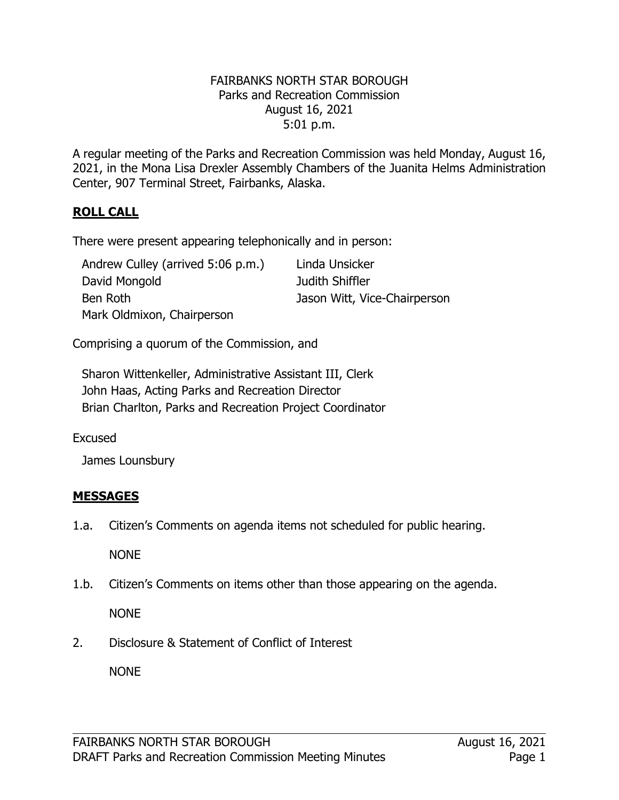#### FAIRBANKS NORTH STAR BOROUGH Parks and Recreation Commission August 16, 2021 5:01 p.m.

A regular meeting of the Parks and Recreation Commission was held Monday, August 16, 2021, in the Mona Lisa Drexler Assembly Chambers of the Juanita Helms Administration Center, 907 Terminal Street, Fairbanks, Alaska.

## **ROLL CALL**

There were present appearing telephonically and in person:

| Andrew Culley (arrived 5:06 p.m.) | Linda Unsicker               |
|-----------------------------------|------------------------------|
| David Mongold                     | Judith Shiffler              |
| Ben Roth                          | Jason Witt, Vice-Chairperson |
| Mark Oldmixon, Chairperson        |                              |

Comprising a quorum of the Commission, and

Sharon Wittenkeller, Administrative Assistant III, Clerk John Haas, Acting Parks and Recreation Director Brian Charlton, Parks and Recreation Project Coordinator

Excused

James Lounsbury

# **MESSAGES**

1.a. Citizen's Comments on agenda items not scheduled for public hearing.

NONE

1.b. Citizen's Comments on items other than those appearing on the agenda.

NONE

2. Disclosure & Statement of Conflict of Interest

NONE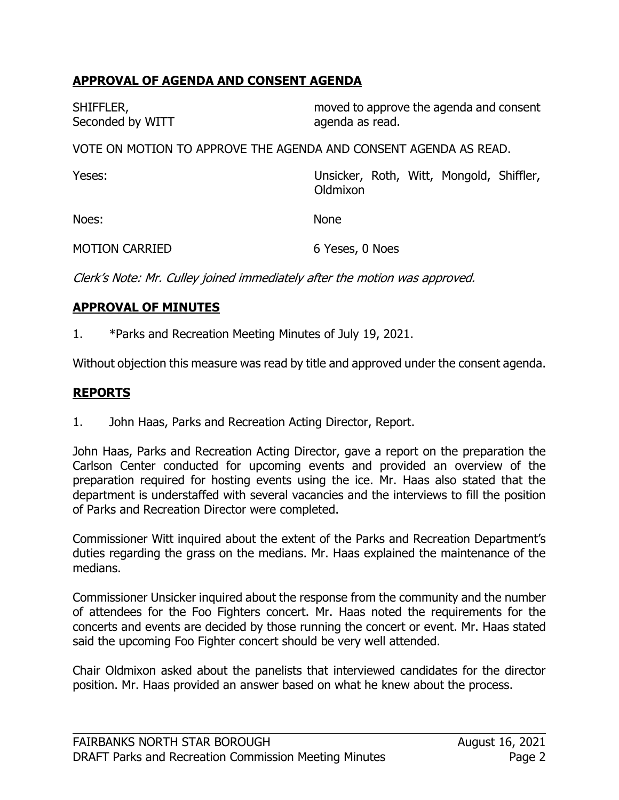## **APPROVAL OF AGENDA AND CONSENT AGENDA**

| SHIFFLER,<br>Seconded by WITT                                    | moved to approve the agenda and consent<br>agenda as read. |  |  |
|------------------------------------------------------------------|------------------------------------------------------------|--|--|
| VOTE ON MOTION TO APPROVE THE AGENDA AND CONSENT AGENDA AS READ. |                                                            |  |  |
| Yeses:                                                           | Unsicker, Roth, Witt, Mongold, Shiffler,<br>Oldmixon       |  |  |
| Noes:                                                            | <b>None</b>                                                |  |  |
| <b>MOTION CARRIED</b>                                            | 6 Yeses, 0 Noes                                            |  |  |

Clerk's Note: Mr. Culley joined immediately after the motion was approved.

#### **APPROVAL OF MINUTES**

1. \*Parks and Recreation Meeting Minutes of July 19, 2021.

Without objection this measure was read by title and approved under the consent agenda.

#### **REPORTS**

1. John Haas, Parks and Recreation Acting Director, Report.

John Haas, Parks and Recreation Acting Director, gave a report on the preparation the Carlson Center conducted for upcoming events and provided an overview of the preparation required for hosting events using the ice. Mr. Haas also stated that the department is understaffed with several vacancies and the interviews to fill the position of Parks and Recreation Director were completed.

Commissioner Witt inquired about the extent of the Parks and Recreation Department's duties regarding the grass on the medians. Mr. Haas explained the maintenance of the medians.

Commissioner Unsicker inquired about the response from the community and the number of attendees for the Foo Fighters concert. Mr. Haas noted the requirements for the concerts and events are decided by those running the concert or event. Mr. Haas stated said the upcoming Foo Fighter concert should be very well attended.

Chair Oldmixon asked about the panelists that interviewed candidates for the director position. Mr. Haas provided an answer based on what he knew about the process.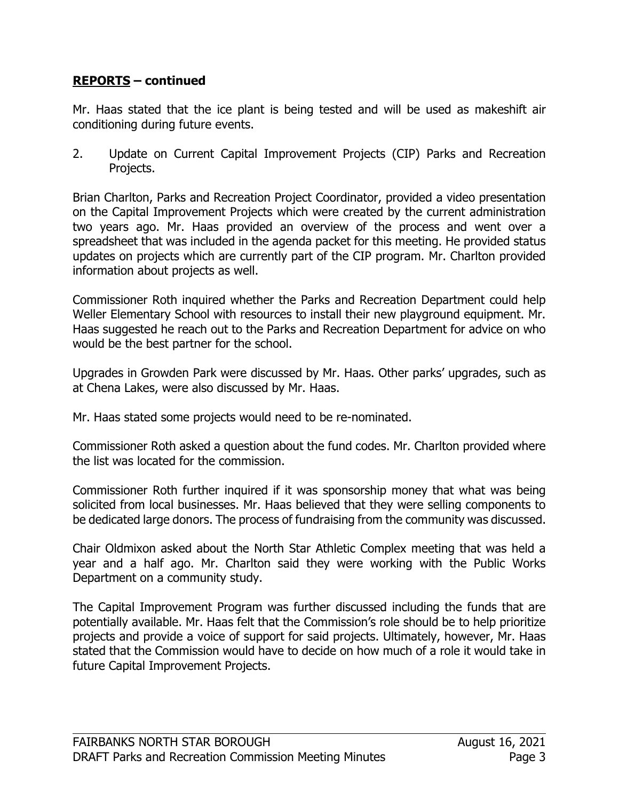### **REPORTS – continued**

Mr. Haas stated that the ice plant is being tested and will be used as makeshift air conditioning during future events.

2. Update on Current Capital Improvement Projects (CIP) Parks and Recreation Projects.

Brian Charlton, Parks and Recreation Project Coordinator, provided a video presentation on the Capital Improvement Projects which were created by the current administration two years ago. Mr. Haas provided an overview of the process and went over a spreadsheet that was included in the agenda packet for this meeting. He provided status updates on projects which are currently part of the CIP program. Mr. Charlton provided information about projects as well.

Commissioner Roth inquired whether the Parks and Recreation Department could help Weller Elementary School with resources to install their new playground equipment. Mr. Haas suggested he reach out to the Parks and Recreation Department for advice on who would be the best partner for the school.

Upgrades in Growden Park were discussed by Mr. Haas. Other parks' upgrades, such as at Chena Lakes, were also discussed by Mr. Haas.

Mr. Haas stated some projects would need to be re-nominated.

Commissioner Roth asked a question about the fund codes. Mr. Charlton provided where the list was located for the commission.

Commissioner Roth further inquired if it was sponsorship money that what was being solicited from local businesses. Mr. Haas believed that they were selling components to be dedicated large donors. The process of fundraising from the community was discussed.

Chair Oldmixon asked about the North Star Athletic Complex meeting that was held a year and a half ago. Mr. Charlton said they were working with the Public Works Department on a community study.

The Capital Improvement Program was further discussed including the funds that are potentially available. Mr. Haas felt that the Commission's role should be to help prioritize projects and provide a voice of support for said projects. Ultimately, however, Mr. Haas stated that the Commission would have to decide on how much of a role it would take in future Capital Improvement Projects.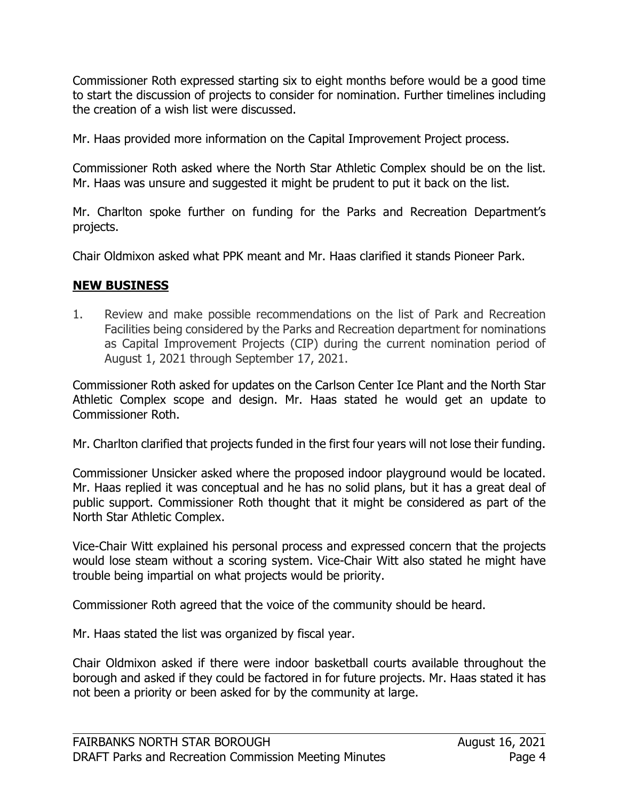Commissioner Roth expressed starting six to eight months before would be a good time to start the discussion of projects to consider for nomination. Further timelines including the creation of a wish list were discussed.

Mr. Haas provided more information on the Capital Improvement Project process.

Commissioner Roth asked where the North Star Athletic Complex should be on the list. Mr. Haas was unsure and suggested it might be prudent to put it back on the list.

Mr. Charlton spoke further on funding for the Parks and Recreation Department's projects.

Chair Oldmixon asked what PPK meant and Mr. Haas clarified it stands Pioneer Park.

#### **NEW BUSINESS**

1. Review and make possible recommendations on the list of Park and Recreation Facilities being considered by the Parks and Recreation department for nominations as Capital Improvement Projects (CIP) during the current nomination period of August 1, 2021 through September 17, 2021.

Commissioner Roth asked for updates on the Carlson Center Ice Plant and the North Star Athletic Complex scope and design. Mr. Haas stated he would get an update to Commissioner Roth.

Mr. Charlton clarified that projects funded in the first four years will not lose their funding.

Commissioner Unsicker asked where the proposed indoor playground would be located. Mr. Haas replied it was conceptual and he has no solid plans, but it has a great deal of public support. Commissioner Roth thought that it might be considered as part of the North Star Athletic Complex.

Vice-Chair Witt explained his personal process and expressed concern that the projects would lose steam without a scoring system. Vice-Chair Witt also stated he might have trouble being impartial on what projects would be priority.

Commissioner Roth agreed that the voice of the community should be heard.

Mr. Haas stated the list was organized by fiscal year.

Chair Oldmixon asked if there were indoor basketball courts available throughout the borough and asked if they could be factored in for future projects. Mr. Haas stated it has not been a priority or been asked for by the community at large.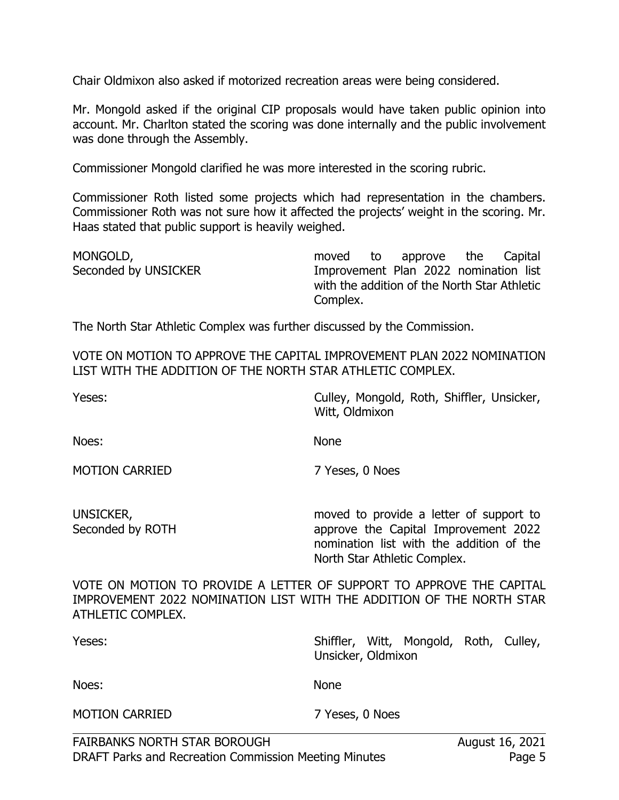Chair Oldmixon also asked if motorized recreation areas were being considered.

Mr. Mongold asked if the original CIP proposals would have taken public opinion into account. Mr. Charlton stated the scoring was done internally and the public involvement was done through the Assembly.

Commissioner Mongold clarified he was more interested in the scoring rubric.

Commissioner Roth listed some projects which had representation in the chambers. Commissioner Roth was not sure how it affected the projects' weight in the scoring. Mr. Haas stated that public support is heavily weighed.

| MONGOLD,             |          | moved to approve the Capital                 |  |
|----------------------|----------|----------------------------------------------|--|
| Seconded by UNSICKER |          | Improvement Plan 2022 nomination list        |  |
|                      |          | with the addition of the North Star Athletic |  |
|                      | Complex. |                                              |  |

The North Star Athletic Complex was further discussed by the Commission.

VOTE ON MOTION TO APPROVE THE CAPITAL IMPROVEMENT PLAN 2022 NOMINATION LIST WITH THE ADDITION OF THE NORTH STAR ATHLETIC COMPLEX.

| Yeses:                                                                | Culley, Mongold, Roth, Shiffler, Unsicker,<br>Witt, Oldmixon                                                                                                |
|-----------------------------------------------------------------------|-------------------------------------------------------------------------------------------------------------------------------------------------------------|
| Noes:                                                                 | <b>None</b>                                                                                                                                                 |
| <b>MOTION CARRIED</b>                                                 | 7 Yeses, 0 Noes                                                                                                                                             |
| UNSICKER,<br>Seconded by ROTH                                         | moved to provide a letter of support to<br>approve the Capital Improvement 2022<br>nomination list with the addition of the<br>North Star Athletic Complex. |
| IMDOOVEMENT 3033 NOMINIATION LICT WITH THE ADDITION OF THE NODTH CTAD | VOTE ON MOTION TO PROVIDE A LETTER OF SUPPORT TO APPROVE THE CAPITAL                                                                                        |

IMPROVEMENT 2022 NOMINATION LIST WITH THE ADDITION OF THE NORTH STAR ATHLETIC COMPLEX.

| Yeses:                              | Shiffler, Witt, Mongold, Roth, Culley,<br>Unsicker, Oldmixon |
|-------------------------------------|--------------------------------------------------------------|
| Noes:                               | <b>None</b>                                                  |
| <b>MOTION CARRIED</b>               | 7 Yeses, 0 Noes                                              |
| <b>FAIRBANKS NORTH STAR BOROUGH</b> | August 16, 2021                                              |